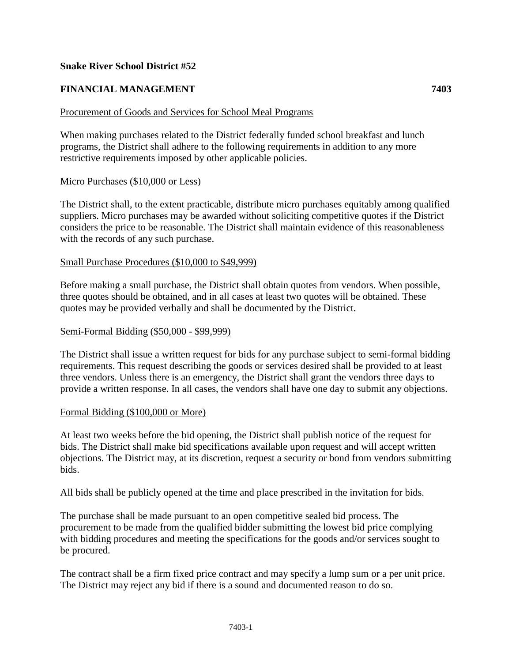## **Snake River School District #52**

# **FINANCIAL MANAGEMENT 7403**

### Procurement of Goods and Services for School Meal Programs

When making purchases related to the District federally funded school breakfast and lunch programs, the District shall adhere to the following requirements in addition to any more restrictive requirements imposed by other applicable policies.

### Micro Purchases (\$10,000 or Less)

The District shall, to the extent practicable, distribute micro purchases equitably among qualified suppliers. Micro purchases may be awarded without soliciting competitive quotes if the District considers the price to be reasonable. The District shall maintain evidence of this reasonableness with the records of any such purchase.

### Small Purchase Procedures (\$10,000 to \$49,999)

Before making a small purchase, the District shall obtain quotes from vendors. When possible, three quotes should be obtained, and in all cases at least two quotes will be obtained. These quotes may be provided verbally and shall be documented by the District.

#### Semi-Formal Bidding (\$50,000 - \$99,999)

The District shall issue a written request for bids for any purchase subject to semi-formal bidding requirements. This request describing the goods or services desired shall be provided to at least three vendors. Unless there is an emergency, the District shall grant the vendors three days to provide a written response. In all cases, the vendors shall have one day to submit any objections.

#### Formal Bidding (\$100,000 or More)

At least two weeks before the bid opening, the District shall publish notice of the request for bids. The District shall make bid specifications available upon request and will accept written objections. The District may, at its discretion, request a security or bond from vendors submitting bids.

All bids shall be publicly opened at the time and place prescribed in the invitation for bids.

The purchase shall be made pursuant to an open competitive sealed bid process. The procurement to be made from the qualified bidder submitting the lowest bid price complying with bidding procedures and meeting the specifications for the goods and/or services sought to be procured.

The contract shall be a firm fixed price contract and may specify a lump sum or a per unit price. The District may reject any bid if there is a sound and documented reason to do so.